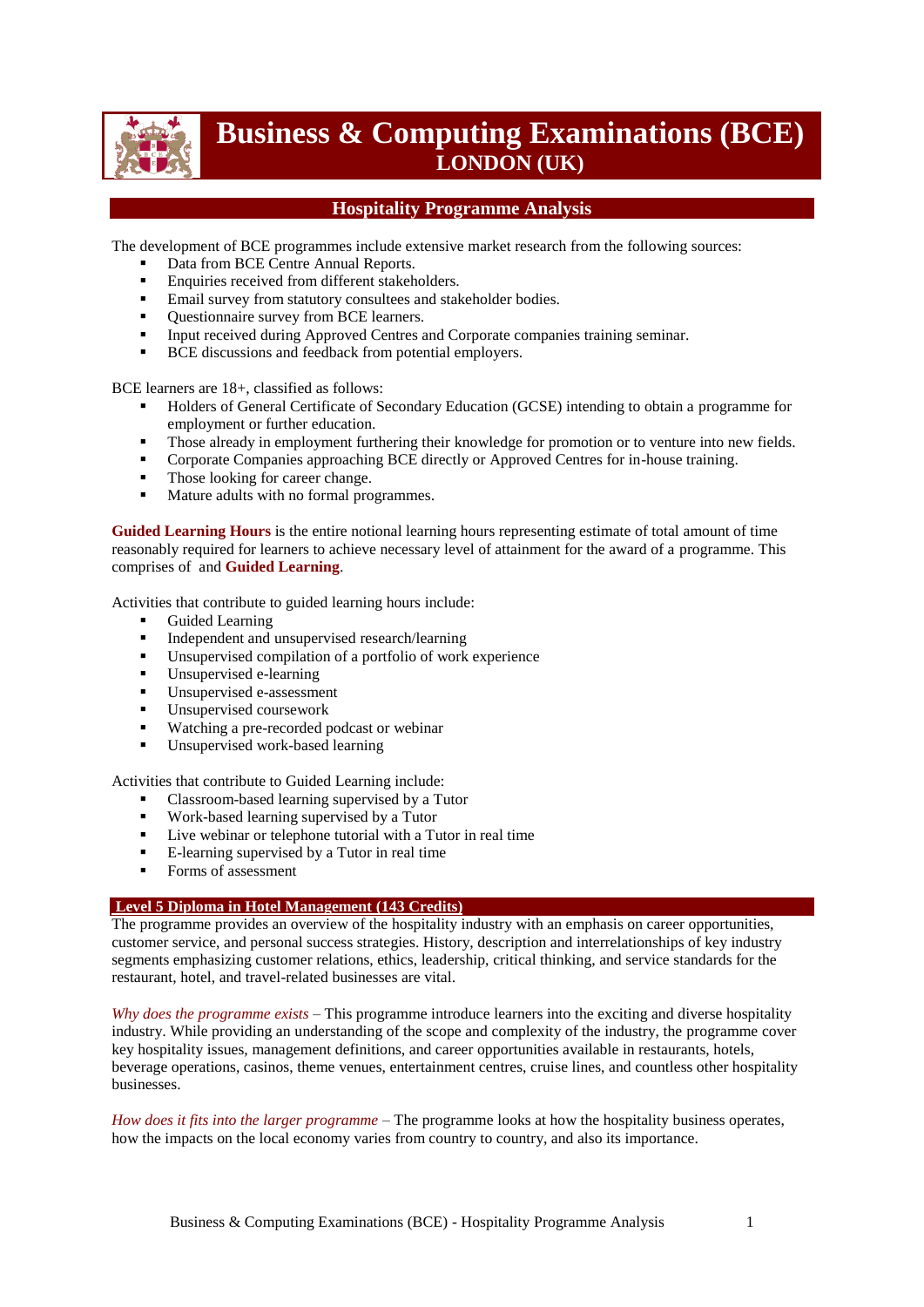

# **Business & Computing Examinations (BCE) LONDON (UK)**

# **Hospitality Programme Analysis**

The development of BCE programmes include extensive market research from the following sources:

- Data from BCE Centre Annual Reports.
- **Enquiries received from different stakeholders.**
- **Email survey from statutory consultees and stakeholder bodies.**
- Ouestionnaire survey from BCE learners.
- Input received during Approved Centres and Corporate companies training seminar.
- **BCE** discussions and feedback from potential employers.

BCE learners are 18+, classified as follows:

- Holders of General Certificate of Secondary Education (GCSE) intending to obtain a programme for employment or further education.
- Those already in employment furthering their knowledge for promotion or to venture into new fields.
- **Corporate Companies approaching BCE directly or Approved Centres for in-house training.**
- Those looking for career change.
- Mature adults with no formal programmes.

**Guided Learning Hours** is the entire notional learning hours representing estimate of total amount of time reasonably required for learners to achieve necessary level of attainment for the award of a programme. This comprises of and **Guided Learning**.

Activities that contribute to guided learning hours include:

- Guided Learning
- Independent and unsupervised research/learning<br>Incurrential compilation of a portfolio of work
- Unsupervised compilation of a portfolio of work experience
- Unsupervised e-learning
- Unsupervised e-assessment
- **Unsupervised coursework**
- Watching a pre-recorded podcast or webinar
- Unsupervised work-based learning

Activities that contribute to Guided Learning include:

- Classroom-based learning supervised by a Tutor
- Work-based learning supervised by a Tutor
- Live webinar or telephone tutorial with a Tutor in real time
- E-learning supervised by a Tutor in real time
- Forms of assessment

### **Level 5 Diploma in Hotel Management (143 Credits)**

The programme provides an overview of the hospitality industry with an emphasis on career opportunities, customer service, and personal success strategies. History, description and interrelationships of key industry segments emphasizing customer relations, ethics, leadership, critical thinking, and service standards for the restaurant, hotel, and travel-related businesses are vital.

*Why does the programme exists* – This programme introduce learners into the exciting and diverse hospitality industry. While providing an understanding of the scope and complexity of the industry, the programme cover key hospitality issues, management definitions, and career opportunities available in restaurants, hotels, beverage operations, casinos, theme venues, entertainment centres, cruise lines, and countless other hospitality businesses.

*How does it fits into the larger programme* – The programme looks at how the hospitality business operates, how the impacts on the local economy varies from country to country, and also its importance.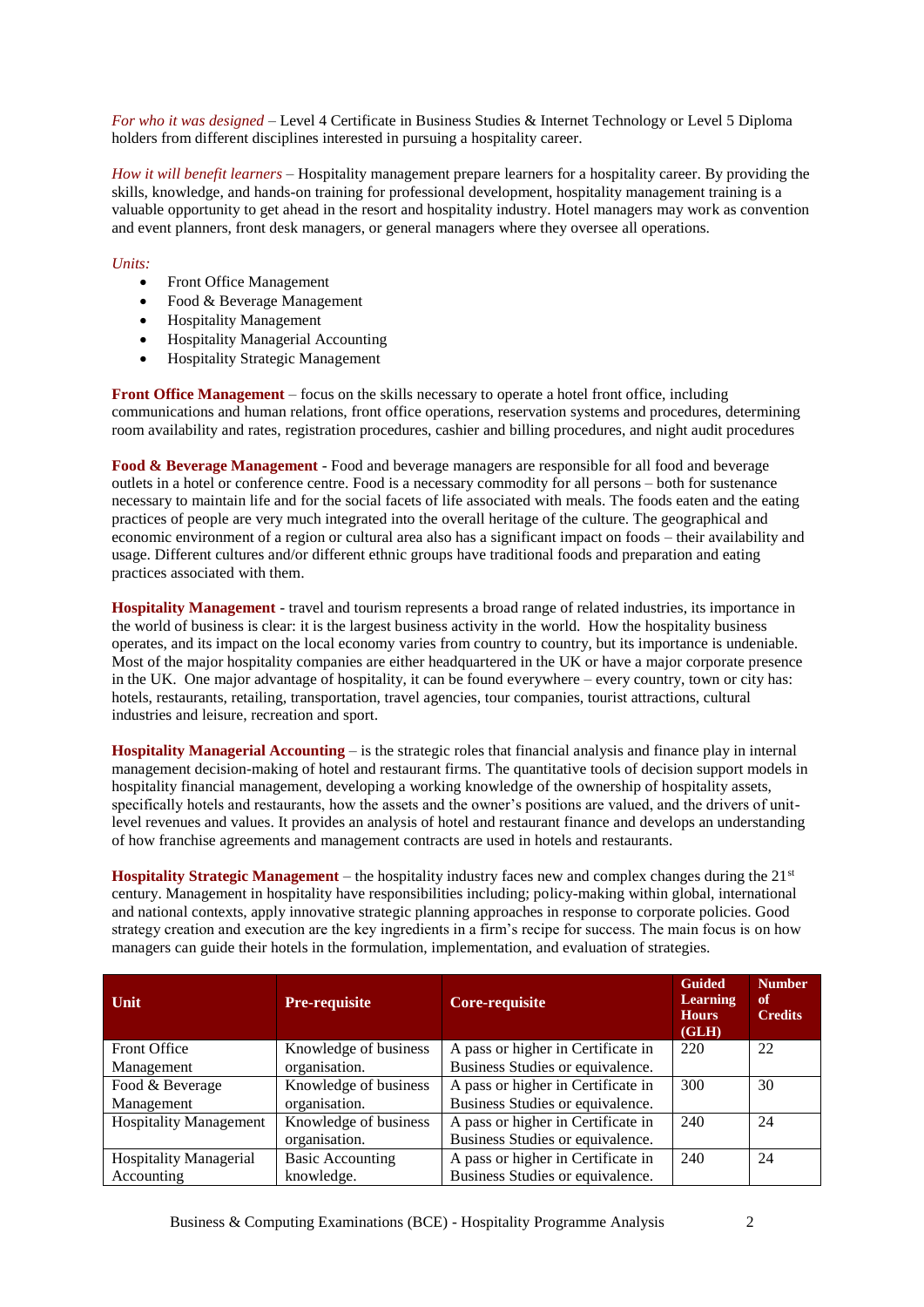*For who it was designed* – Level 4 Certificate in Business Studies & Internet Technology or Level 5 Diploma holders from different disciplines interested in pursuing a hospitality career.

*How it will benefit learners* – Hospitality management prepare learners for a hospitality career. By providing the skills, knowledge, and hands-on training for professional development, hospitality management training is a valuable opportunity to get ahead in the resort and hospitality industry. Hotel managers may work as convention and event planners, front desk managers, or general managers where they oversee all operations.

#### *Units:*

- Front Office Management
- Food & Beverage Management
- Hospitality Management
- Hospitality Managerial Accounting
- Hospitality Strategic Management

**Front Office Management** – focus on the skills necessary to operate a hotel front office, including communications and human relations, front office operations, reservation systems and procedures, determining room availability and rates, registration procedures, cashier and billing procedures, and night audit procedures

**Food & Beverage Management** - Food and beverage managers are responsible for all food and beverage outlets in a hotel or conference centre. Food is a necessary commodity for all persons – both for sustenance necessary to maintain life and for the social facets of life associated with meals. The foods eaten and the eating practices of people are very much integrated into the overall heritage of the culture. The geographical and economic environment of a region or cultural area also has a significant impact on foods – their availability and usage. Different cultures and/or different ethnic groups have traditional foods and preparation and eating practices associated with them.

**Hospitality Management** - travel and tourism represents a broad range of related industries, its importance in the world of business is clear: it is the largest business activity in the world. How the hospitality business operates, and its impact on the local economy varies from country to country, but its importance is undeniable. Most of the major hospitality companies are either headquartered in the UK or have a major corporate presence in the UK. One major advantage of hospitality, it can be found everywhere – every country, town or city has: hotels, restaurants, retailing, transportation, travel agencies, tour companies, tourist attractions, cultural industries and leisure, recreation and sport.

**Hospitality Managerial Accounting** – is the strategic roles that financial analysis and finance play in internal management decision-making of hotel and restaurant firms. The quantitative tools of decision support models in hospitality financial management, developing a working knowledge of the ownership of hospitality assets, specifically hotels and restaurants, how the assets and the owner's positions are valued, and the drivers of unitlevel revenues and values. It provides an analysis of hotel and restaurant finance and develops an understanding of how franchise agreements and management contracts are used in hotels and restaurants.

**Hospitality Strategic Management** – the hospitality industry faces new and complex changes during the 21st century. Management in hospitality have responsibilities including; policy-making within global, international and national contexts, apply innovative strategic planning approaches in response to corporate policies. Good strategy creation and execution are the key ingredients in a firm's recipe for success. The main focus is on how managers can guide their hotels in the formulation, implementation, and evaluation of strategies.

| Unit                          | <b>Pre-requisite</b>    | Core-requisite                     | <b>Guided</b><br><b>Learning</b><br><b>Hours</b><br>(GLH) | <b>Number</b><br>оf<br><b>Credits</b> |
|-------------------------------|-------------------------|------------------------------------|-----------------------------------------------------------|---------------------------------------|
| <b>Front Office</b>           | Knowledge of business   | A pass or higher in Certificate in | 220                                                       | 22                                    |
| Management                    | organisation.           | Business Studies or equivalence.   |                                                           |                                       |
| Food & Beverage               | Knowledge of business   | A pass or higher in Certificate in | 300                                                       | 30                                    |
| Management                    | organisation.           | Business Studies or equivalence.   |                                                           |                                       |
| <b>Hospitality Management</b> | Knowledge of business   | A pass or higher in Certificate in | 240                                                       | 24                                    |
|                               | organisation.           | Business Studies or equivalence.   |                                                           |                                       |
| <b>Hospitality Managerial</b> | <b>Basic Accounting</b> | A pass or higher in Certificate in | 240                                                       | 24                                    |
| Accounting                    | knowledge.              | Business Studies or equivalence.   |                                                           |                                       |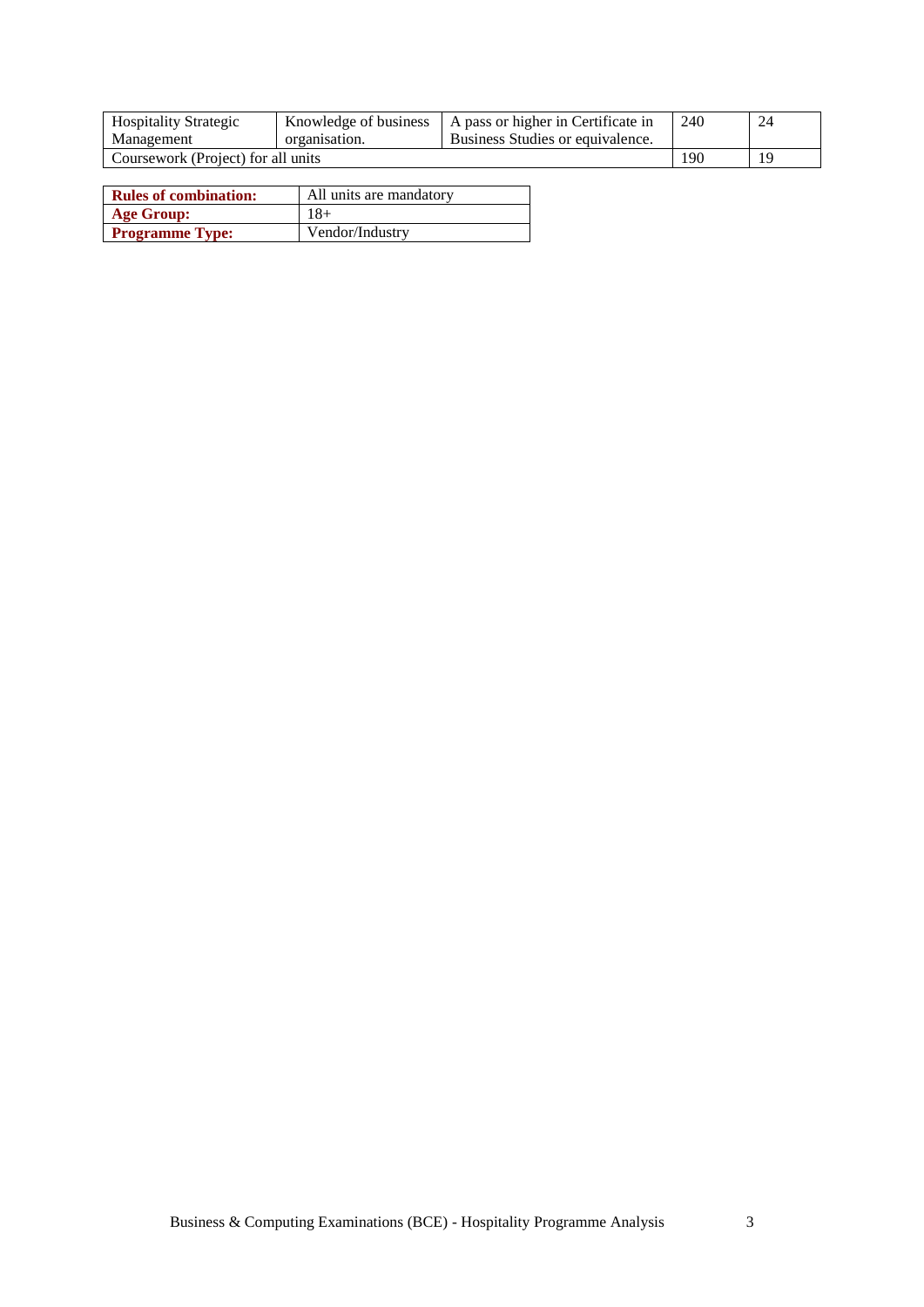| <b>Hospitality Strategic</b>       | Knowledge of business | A pass or higher in Certificate in | 240 | 24 |
|------------------------------------|-----------------------|------------------------------------|-----|----|
| Management                         | organisation.         | Business Studies or equivalence.   |     |    |
| Coursework (Project) for all units | 190                   | 19                                 |     |    |

| <b>Rules of combination:</b> | All units are mandatory |
|------------------------------|-------------------------|
| <b>Age Group:</b>            | 18+                     |
| <b>Programme Type:</b>       | Vendor/Industry         |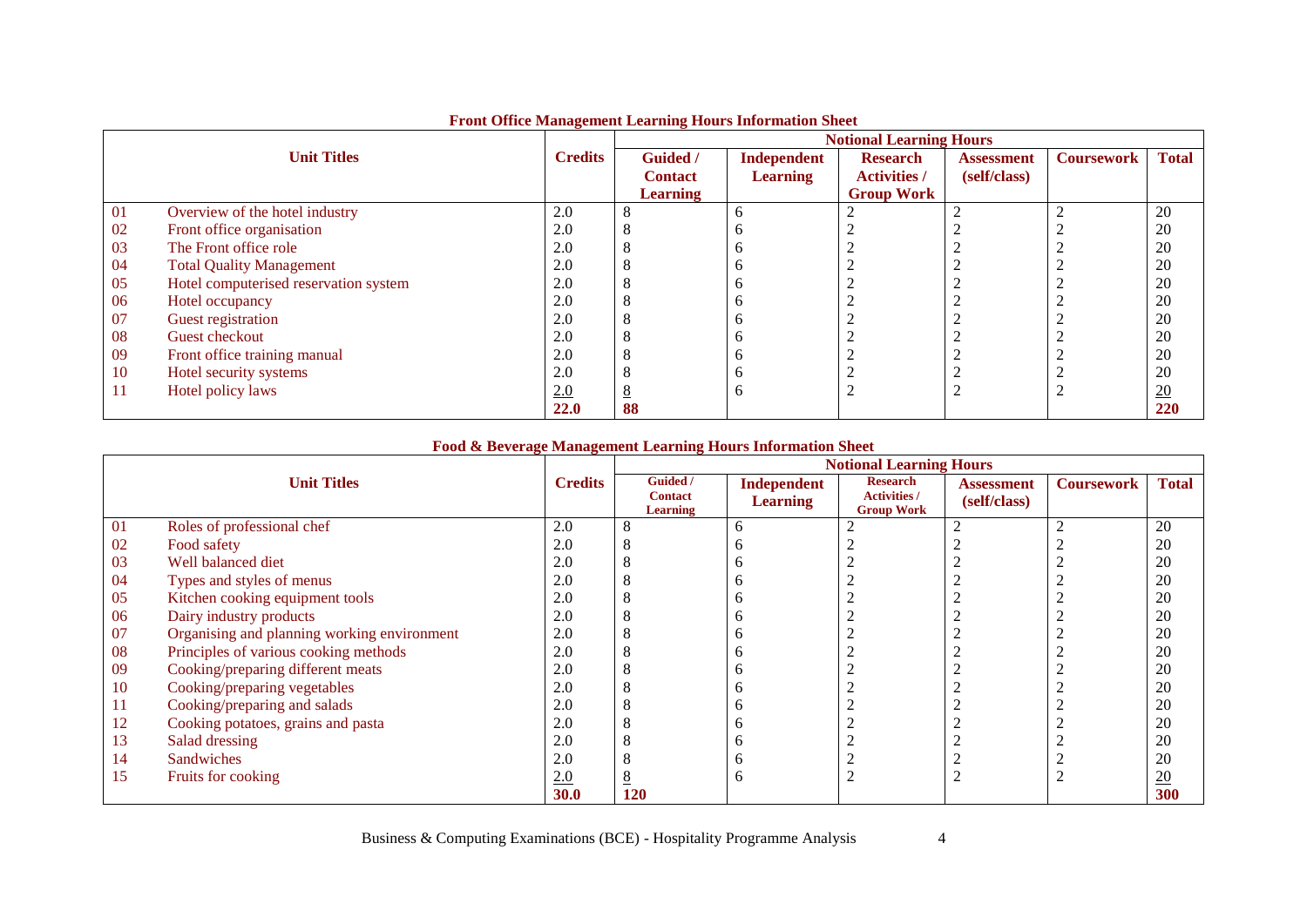|    |                                       |                |                 |                 | <b>Notional Learning Hours</b> |                   |                   |                  |
|----|---------------------------------------|----------------|-----------------|-----------------|--------------------------------|-------------------|-------------------|------------------|
|    | <b>Unit Titles</b>                    | <b>Credits</b> | Guided /        | Independent     | <b>Research</b>                | <b>Assessment</b> | <b>Coursework</b> | <b>Total</b>     |
|    |                                       |                | <b>Contact</b>  | <b>Learning</b> | <b>Activities /</b>            | (self/class)      |                   |                  |
|    |                                       |                | <b>Learning</b> |                 | <b>Group Work</b>              |                   |                   |                  |
| 01 | Overview of the hotel industry        | 2.0            |                 | <sub>0</sub>    |                                |                   |                   | 20               |
| 02 | Front office organisation             | 2.0            |                 | n               |                                |                   |                   | 20               |
| 03 | The Front office role                 | 2.0            |                 | n               |                                |                   |                   | 20               |
| 04 | <b>Total Quality Management</b>       | 2.0            |                 | n               |                                |                   |                   | 20               |
| 05 | Hotel computerised reservation system | 2.0            |                 |                 |                                |                   |                   | 20               |
| 06 | Hotel occupancy                       | 2.0            |                 | n               |                                |                   |                   | 20               |
| 07 | Guest registration                    | 2.0            |                 | n               |                                |                   |                   | 20               |
| 08 | Guest checkout                        | 2.0            |                 | n               |                                |                   |                   | 20               |
| 09 | Front office training manual          | 2.0            |                 | n               |                                |                   |                   | 20               |
| 10 | Hotel security systems                | 2.0            |                 | n               |                                |                   |                   | 20               |
| 11 | Hotel policy laws                     | 2.0            |                 | o               |                                |                   |                   | $\underline{20}$ |
|    |                                       | 22.0           | 88              |                 |                                |                   |                   | 220              |

### **Front Office Management Learning Hours Information Sheet**

### **Food & Beverage Management Learning Hours Information Sheet**

|    |                                             |                |                                               |                                | <b>Notional Learning Hours</b>                              |                                   |                   |                 |
|----|---------------------------------------------|----------------|-----------------------------------------------|--------------------------------|-------------------------------------------------------------|-----------------------------------|-------------------|-----------------|
|    | <b>Unit Titles</b>                          | <b>Credits</b> | Guided /<br><b>Contact</b><br><b>Learning</b> | Independent<br><b>Learning</b> | <b>Research</b><br><b>Activities /</b><br><b>Group Work</b> | <b>Assessment</b><br>(self/class) | <b>Coursework</b> | <b>Total</b>    |
| 01 | Roles of professional chef                  | 2.0            |                                               | 6                              | 2                                                           |                                   |                   | 20              |
| 02 | Food safety                                 | 2.0            |                                               | n                              |                                                             |                                   |                   | 20              |
| 03 | Well balanced diet                          | 2.0            |                                               | n                              |                                                             |                                   |                   | 20              |
| 04 | Types and styles of menus                   | 2.0            |                                               |                                |                                                             |                                   |                   | 20              |
| 05 | Kitchen cooking equipment tools             | 2.0            |                                               | h                              | ∠                                                           |                                   |                   | 20              |
| 06 | Dairy industry products                     | 2.0            |                                               | n                              |                                                             |                                   |                   | 20              |
| 07 | Organising and planning working environment | 2.0            |                                               | n                              |                                                             |                                   |                   | 20              |
| 08 | Principles of various cooking methods       | 2.0            |                                               | n                              |                                                             |                                   |                   | 20              |
| 09 | Cooking/preparing different meats           | 2.0            |                                               | n                              |                                                             |                                   |                   | 20              |
| 10 | Cooking/preparing vegetables                | 2.0            |                                               |                                |                                                             |                                   |                   | 20              |
| 11 | Cooking/preparing and salads                | 2.0            |                                               | n                              |                                                             |                                   |                   | 20              |
| 12 | Cooking potatoes, grains and pasta          | 2.0            |                                               | n                              |                                                             |                                   |                   | 20              |
| 13 | Salad dressing                              | 2.0            |                                               | n                              |                                                             |                                   |                   | 20              |
| 14 | <b>Sandwiches</b>                           | 2.0            |                                               | n                              | $\sqrt{2}$                                                  |                                   |                   | 20              |
| 15 | Fruits for cooking                          | 2.0            |                                               | h                              | ∠                                                           |                                   |                   | $\overline{20}$ |
|    |                                             | 30.0           | 120                                           |                                |                                                             |                                   |                   | 300             |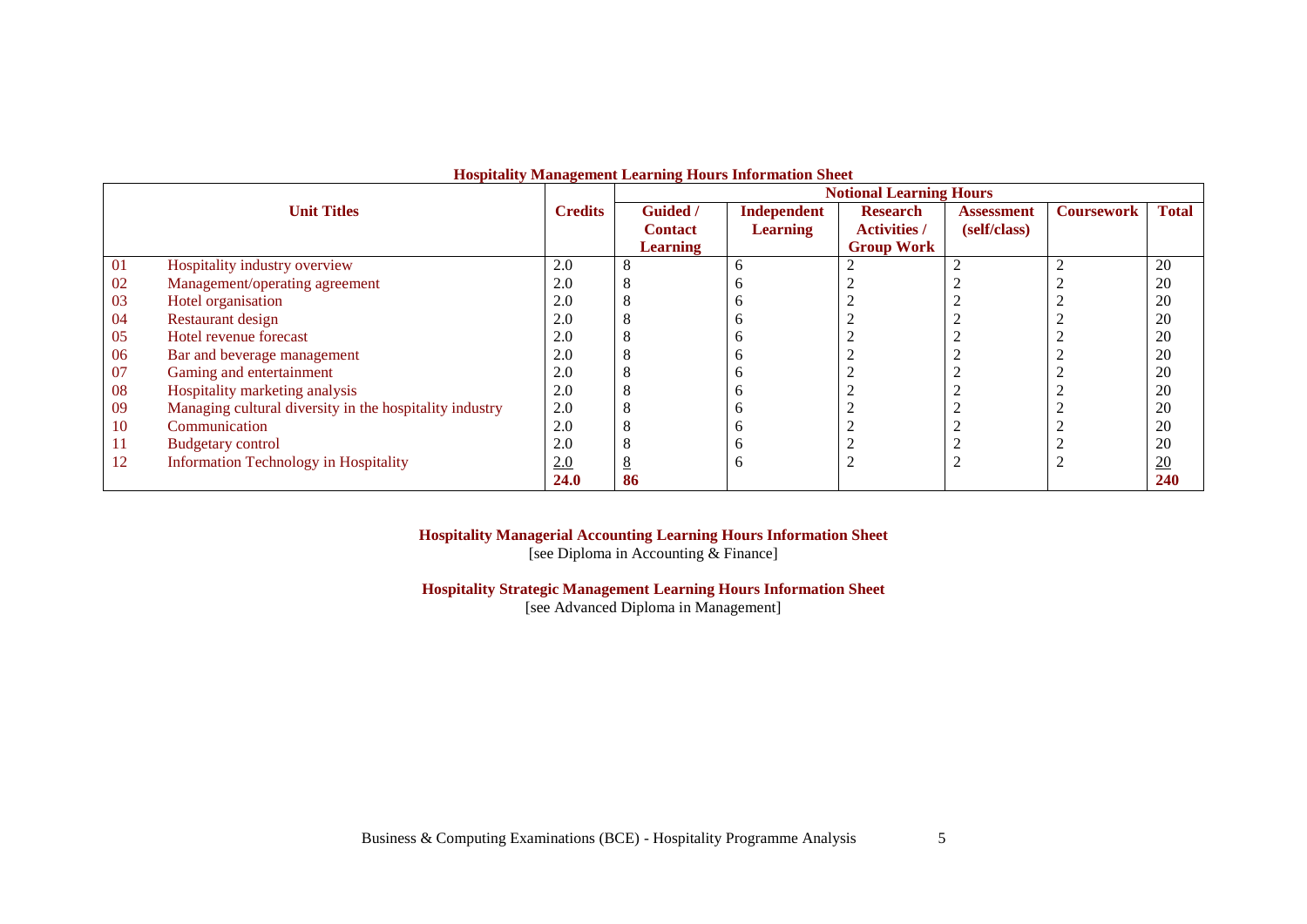|    |                                                         |                |                 |                 | <b>Notional Learning Hours</b> |              |                   |                 |
|----|---------------------------------------------------------|----------------|-----------------|-----------------|--------------------------------|--------------|-------------------|-----------------|
|    | <b>Unit Titles</b>                                      | <b>Credits</b> | <b>Guided</b> / | Independent     | <b>Research</b>                | Assessment   | <b>Coursework</b> | <b>Total</b>    |
|    |                                                         |                | <b>Contact</b>  | <b>Learning</b> | <b>Activities /</b>            | (self/class) |                   |                 |
|    |                                                         |                | <b>Learning</b> |                 | <b>Group Work</b>              |              |                   |                 |
| 01 | Hospitality industry overview                           | 2.0            | 8               | h               |                                |              |                   | 20              |
| 02 | Management/operating agreement                          | 2.0            | 8               |                 |                                |              |                   | 20              |
| 03 | Hotel organisation                                      | 2.0            | 8               |                 |                                |              |                   | 20              |
| 04 | Restaurant design                                       | 2.0            | 8               |                 |                                |              |                   | 20              |
| 05 | Hotel revenue forecast                                  | 2.0            | 8               |                 |                                |              |                   | 20              |
| 06 | Bar and beverage management                             | 2.0            | 8               |                 |                                |              |                   | 20              |
| 07 | Gaming and entertainment                                | 2.0            | 8               |                 |                                |              |                   | 20              |
| 08 | Hospitality marketing analysis                          | 2.0            | 8               |                 |                                |              |                   | 20              |
| 09 | Managing cultural diversity in the hospitality industry | 2.0            | 8               |                 |                                |              |                   | 20              |
| 10 | Communication                                           | 2.0            | 8               |                 |                                |              |                   | 20              |
| 11 | <b>Budgetary control</b>                                | 2.0            | 8               |                 |                                |              |                   | 20              |
| 12 | <b>Information Technology in Hospitality</b>            | 2.0            | 8               | h               |                                |              | $\sim$            | $\overline{20}$ |
|    |                                                         | <b>24.0</b>    | 86              |                 |                                |              |                   | <b>240</b>      |

### **Hospitality Management Learning Hours Information Sheet**

### **Hospitality Managerial Accounting Learning Hours Information Sheet**

[see Diploma in Accounting & Finance]

# **Hospitality Strategic Management Learning Hours Information Sheet**

[see Advanced Diploma in Management]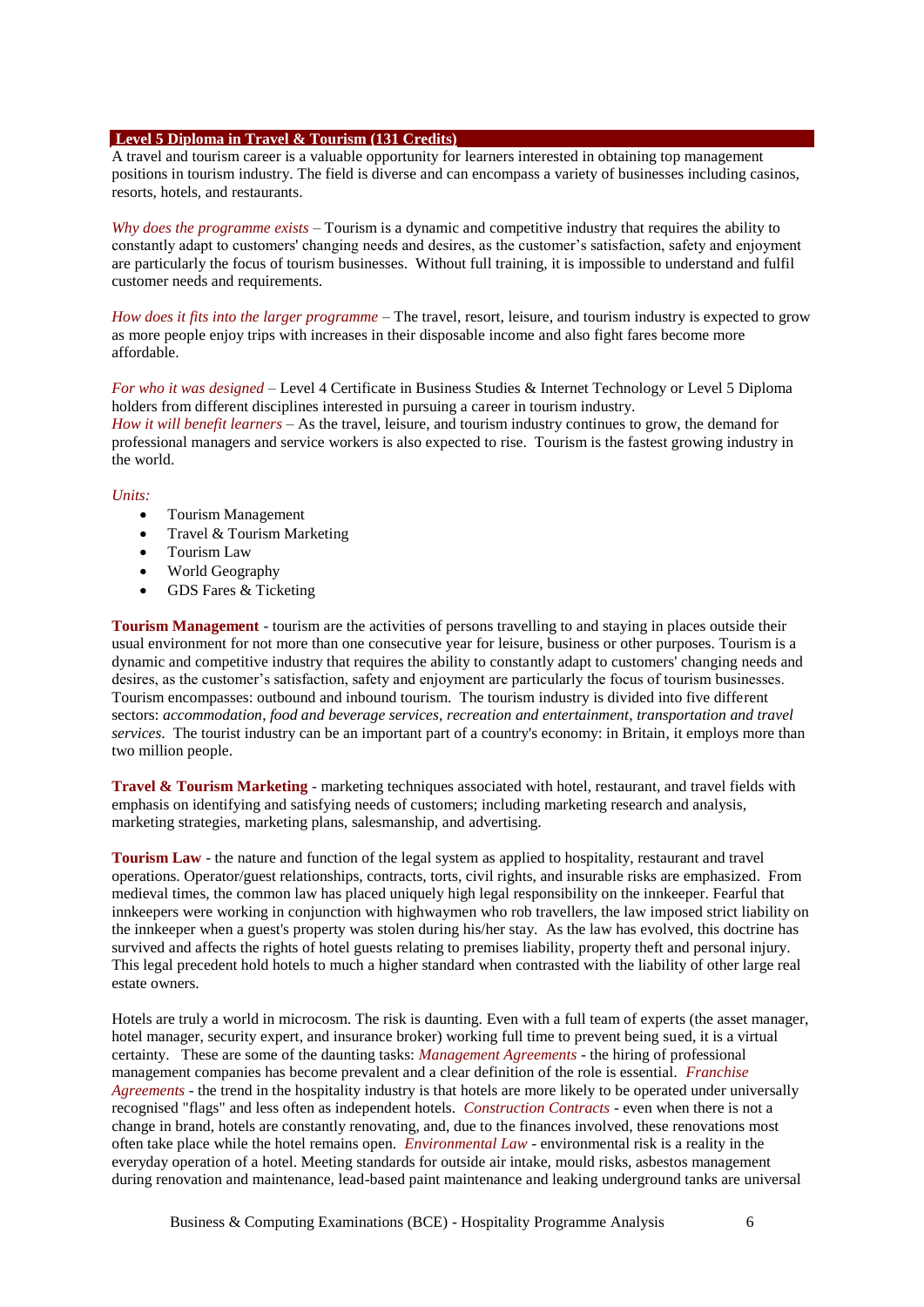#### **Level 5 Diploma in Travel & Tourism (131 Credits)**

A travel and tourism career is a valuable opportunity for learners interested in obtaining top management positions in tourism industry. The field is diverse and can encompass a variety of businesses including casinos, resorts, hotels, and restaurants.

*Why does the programme exists* – Tourism is a dynamic and competitive industry that requires the ability to constantly adapt to customers' changing needs and desires, as the customer's satisfaction, safety and enjoyment are particularly the focus of tourism businesses. Without full training, it is impossible to understand and fulfil customer needs and requirements.

*How does it fits into the larger programme* – The travel, resort, leisure, and tourism industry is expected to grow as more people enjoy trips with increases in their disposable income and also fight fares become more affordable.

*For who it was designed* – Level 4 Certificate in Business Studies & Internet Technology or Level 5 Diploma holders from different disciplines interested in pursuing a career in tourism industry. *How it will benefit learners* – As the travel, leisure, and tourism industry continues to grow, the demand for professional managers and service workers is also expected to rise. Tourism is the fastest growing industry in the world.

#### *Units:*

- Tourism Management
- Travel  $&$  Tourism Marketing
- Tourism Law
- World Geography
- GDS Fares & Ticketing

**Tourism Management** - tourism are the activities of persons travelling to and staying in places outside their usual environment for not more than one consecutive year for leisure, business or other purposes. Tourism is a dynamic and competitive industry that requires the ability to constantly adapt to customers' changing needs and desires, as the customer's satisfaction, safety and enjoyment are particularly the focus of tourism businesses. Tourism encompasses: outbound and inbound tourism. The tourism industry is divided into five different sectors: *accommodation*, *food and beverage services*, *recreation and entertainment*, *transportation and travel services*. The tourist industry can be an important part of a country's economy: in Britain, it employs more than two million people.

**Travel & Tourism Marketing** - marketing techniques associated with hotel, restaurant, and travel fields with emphasis on identifying and satisfying needs of customers; including marketing research and analysis, marketing strategies, marketing plans, salesmanship, and advertising.

**Tourism Law** - the nature and function of the legal system as applied to hospitality, restaurant and travel operations. Operator/guest relationships, contracts, torts, civil rights, and insurable risks are emphasized. From medieval times, the common law has placed uniquely high legal responsibility on the innkeeper. Fearful that innkeepers were working in conjunction with highwaymen who rob travellers, the law imposed strict liability on the innkeeper when a guest's property was stolen during his/her stay. As the law has evolved, this doctrine has survived and affects the rights of hotel guests relating to premises liability, property theft and personal injury. This legal precedent hold hotels to much a higher standard when contrasted with the liability of other large real estate owners.

Hotels are truly a world in microcosm. The risk is daunting. Even with a full team of experts (the asset manager, hotel manager, security expert, and insurance broker) working full time to prevent being sued, it is a virtual certainty. These are some of the daunting tasks: *Management Agreements* - the hiring of professional management companies has become prevalent and a clear definition of the role is essential. *Franchise Agreements* - the trend in the hospitality industry is that hotels are more likely to be operated under universally recognised "flags" and less often as independent hotels. *Construction Contracts* - even when there is not a change in brand, hotels are constantly renovating, and, due to the finances involved, these renovations most often take place while the hotel remains open. *Environmental Law* - environmental risk is a reality in the everyday operation of a hotel. Meeting standards for outside air intake, mould risks, asbestos management during renovation and maintenance, lead-based paint maintenance and leaking underground tanks are universal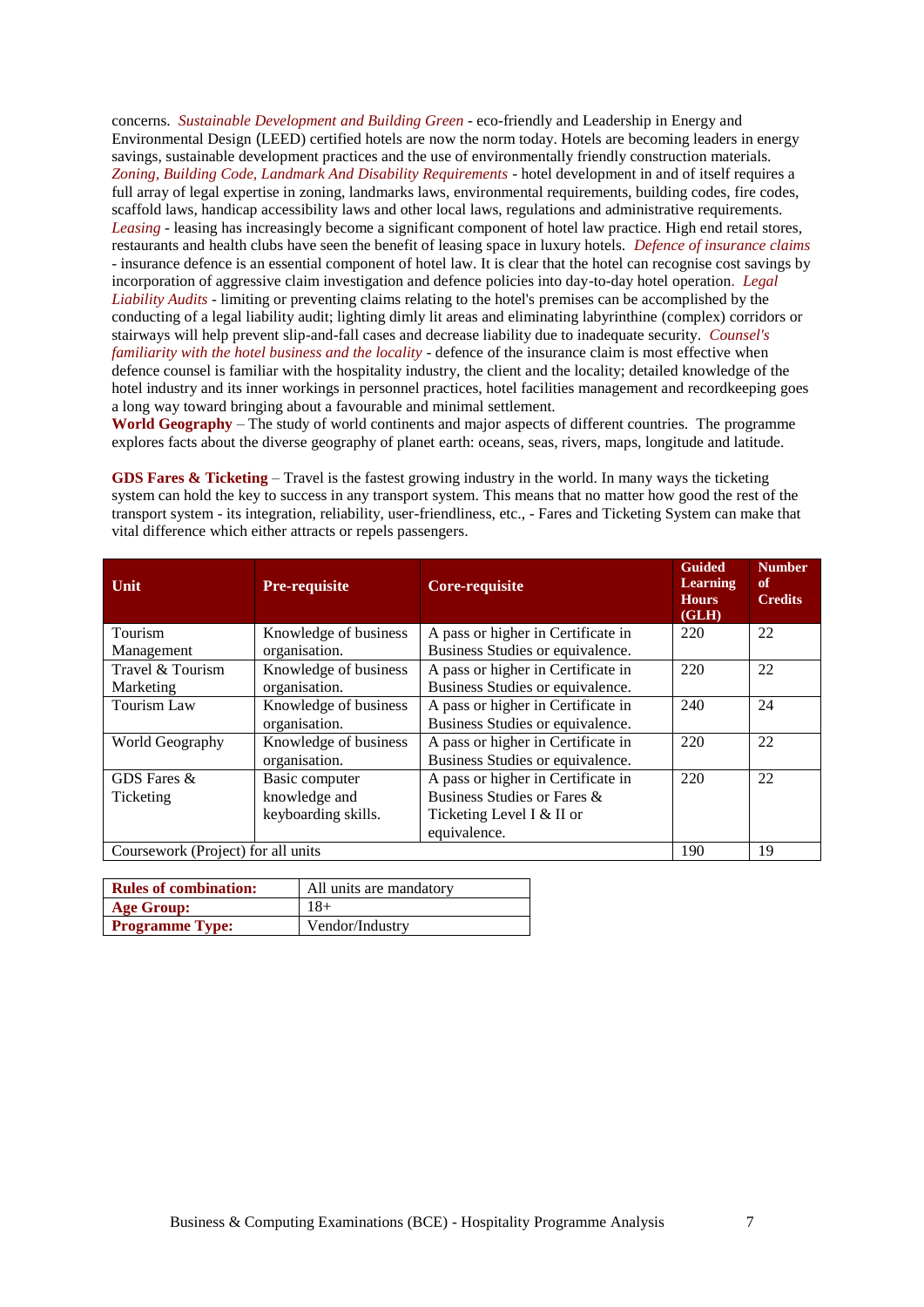concerns. *Sustainable Development and Building Green* - eco-friendly and Leadership in Energy and Environmental Design (LEED) certified hotels are now the norm today. Hotels are becoming leaders in energy savings, sustainable development practices and the use of environmentally friendly construction materials. *Zoning, Building Code, Landmark And Disability Requirements* - hotel development in and of itself requires a full array of legal expertise in zoning, landmarks laws, environmental requirements, building codes, fire codes, scaffold laws, handicap accessibility laws and other local laws, regulations and administrative requirements. *Leasing* - leasing has increasingly become a significant component of hotel law practice. High end retail stores, restaurants and health clubs have seen the benefit of leasing space in luxury hotels. *Defence of insurance claims* - insurance defence is an essential component of hotel law. It is clear that the hotel can recognise cost savings by incorporation of aggressive claim investigation and defence policies into day-to-day hotel operation. *Legal Liability Audits* - limiting or preventing claims relating to the hotel's premises can be accomplished by the conducting of a legal liability audit; lighting dimly lit areas and eliminating labyrinthine (complex) corridors or stairways will help prevent slip-and-fall cases and decrease liability due to inadequate security. *Counsel's familiarity with the hotel business and the locality* - defence of the insurance claim is most effective when defence counsel is familiar with the hospitality industry, the client and the locality; detailed knowledge of the hotel industry and its inner workings in personnel practices, hotel facilities management and recordkeeping goes a long way toward bringing about a favourable and minimal settlement.

**World Geography** – The study of world continents and major aspects of different countries. The programme explores facts about the diverse geography of planet earth: oceans, seas, rivers, maps, longitude and latitude.

**GDS Fares & Ticketing** – Travel is the fastest growing industry in the world. In many ways the ticketing system can hold the key to success in any transport system. This means that no matter how good the rest of the transport system - its integration, reliability, user-friendliness, etc., - Fares and Ticketing System can make that vital difference which either attracts or repels passengers.

| <b>Unit</b>                        | <b>Pre-requisite</b>  | <b>Core-requisite</b>              | <b>Guided</b><br><b>Learning</b><br><b>Hours</b><br>(GLH) | <b>Number</b><br>of<br><b>Credits</b> |
|------------------------------------|-----------------------|------------------------------------|-----------------------------------------------------------|---------------------------------------|
| Tourism                            | Knowledge of business | A pass or higher in Certificate in | 220                                                       | 22                                    |
| Management                         | organisation.         | Business Studies or equivalence.   |                                                           |                                       |
| Travel & Tourism                   | Knowledge of business | A pass or higher in Certificate in | 220                                                       | 22                                    |
| Marketing                          | organisation.         | Business Studies or equivalence.   |                                                           |                                       |
| Tourism Law                        | Knowledge of business | A pass or higher in Certificate in | 240                                                       | 24                                    |
|                                    | organisation.         | Business Studies or equivalence.   |                                                           |                                       |
| World Geography                    | Knowledge of business | A pass or higher in Certificate in | 220                                                       | 22                                    |
|                                    | organisation.         | Business Studies or equivalence.   |                                                           |                                       |
| GDS Fares &                        | Basic computer        | A pass or higher in Certificate in | 220                                                       | 22                                    |
| Ticketing                          | knowledge and         | Business Studies or Fares &        |                                                           |                                       |
|                                    | keyboarding skills.   | Ticketing Level I & II or          |                                                           |                                       |
|                                    |                       | equivalence.                       |                                                           |                                       |
| Coursework (Project) for all units |                       |                                    | 190                                                       | 19                                    |

| <b>Rules of combination:</b> | All units are mandatory |
|------------------------------|-------------------------|
| <b>Age Group:</b>            | $18+$                   |
| <b>Programme Type:</b>       | Vendor/Industry         |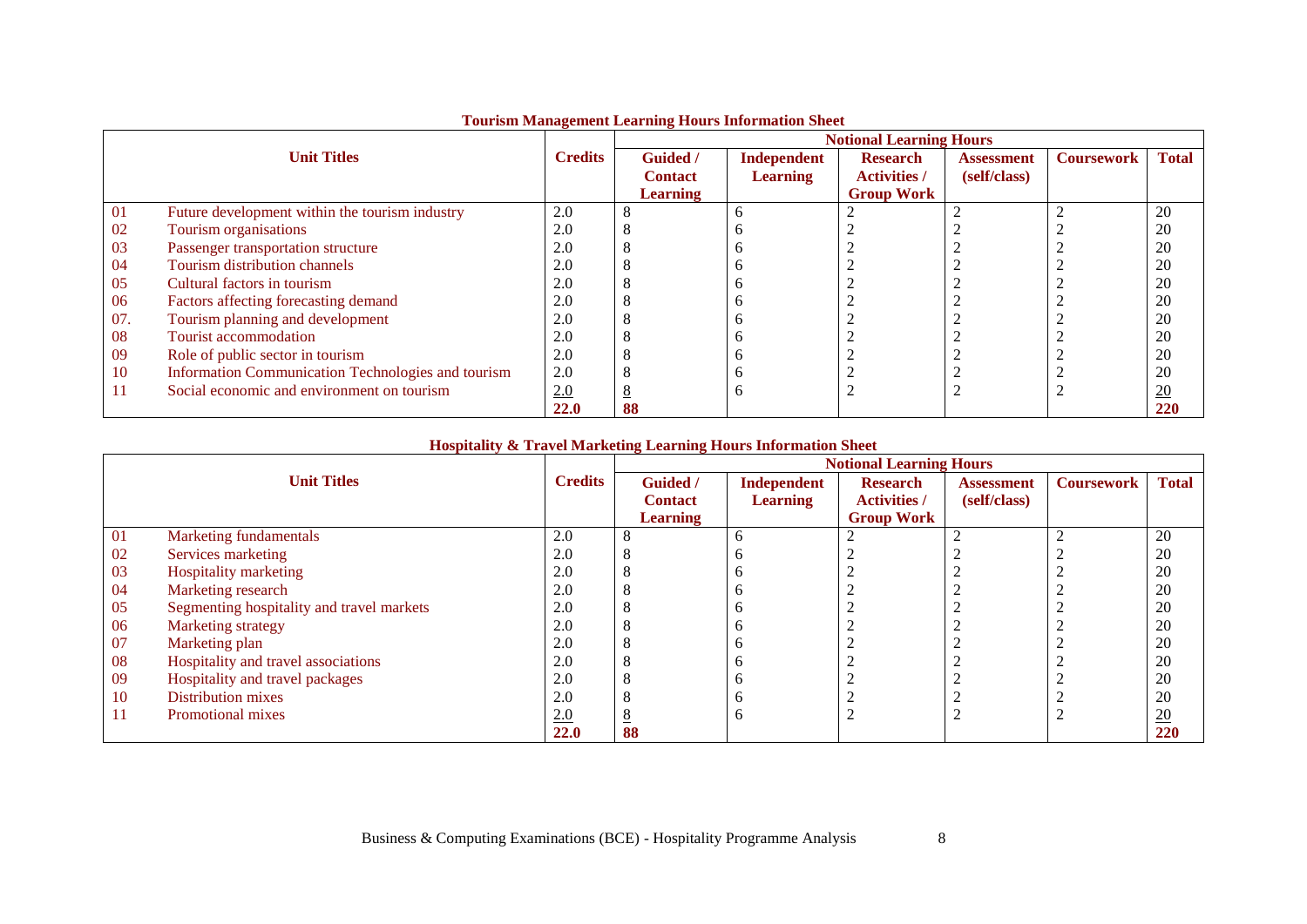|     |                                                    |                |                 |                 | <b>Notional Learning Hours</b> |                   |                   |                  |
|-----|----------------------------------------------------|----------------|-----------------|-----------------|--------------------------------|-------------------|-------------------|------------------|
|     | <b>Unit Titles</b>                                 | <b>Credits</b> | Guided /        | Independent     | <b>Research</b>                | <b>Assessment</b> | <b>Coursework</b> | <b>Total</b>     |
|     |                                                    |                | <b>Contact</b>  | <b>Learning</b> | <b>Activities /</b>            | (self/class)      |                   |                  |
|     |                                                    |                | <b>Learning</b> |                 | <b>Group Work</b>              |                   |                   |                  |
| 01  | Future development within the tourism industry     | 2.0            |                 | h               |                                |                   |                   | 20               |
| 02  | Tourism organisations                              | 2.0            |                 |                 |                                |                   |                   | 20               |
| 03  | Passenger transportation structure                 | 2.0            |                 |                 |                                |                   |                   | 20               |
| 04  | Tourism distribution channels                      | 2.0            |                 |                 |                                |                   |                   | 20               |
| 05  | Cultural factors in tourism                        | 2.0            |                 |                 |                                |                   |                   | 20               |
| 06  | Factors affecting forecasting demand               | 2.0            |                 |                 |                                |                   |                   | 20               |
| 07. | Tourism planning and development                   | 2.0            |                 |                 |                                |                   |                   | 20               |
| 08  | Tourist accommodation                              | 2.0            |                 |                 |                                |                   |                   | 20               |
| 09  | Role of public sector in tourism                   | 2.0            |                 |                 |                                |                   |                   | 20               |
| 10  | Information Communication Technologies and tourism | 2.0            |                 |                 |                                |                   |                   | 20               |
| 11  | Social economic and environment on tourism         | 2.0            |                 | n               |                                |                   |                   | $\underline{20}$ |
|     |                                                    | 22.0           | 88              |                 |                                |                   |                   | 220              |

## **Tourism Management Learning Hours Information Sheet**

### **Hospitality & Travel Marketing Learning Hours Information Sheet**

|           |                                           |                |                 |                 | <b>Notional Learning Hours</b> |                   |                   |              |
|-----------|-------------------------------------------|----------------|-----------------|-----------------|--------------------------------|-------------------|-------------------|--------------|
|           | <b>Unit Titles</b>                        | <b>Credits</b> | Guided /        | Independent     | <b>Research</b>                | <b>Assessment</b> | <b>Coursework</b> | <b>Total</b> |
|           |                                           |                | <b>Contact</b>  | <b>Learning</b> | <b>Activities /</b>            | (self/class)      |                   |              |
|           |                                           |                | <b>Learning</b> |                 | <b>Group Work</b>              |                   |                   |              |
| -01       | Marketing fundamentals                    | 2.0            |                 | b               |                                |                   |                   | 20           |
| 02        | Services marketing                        | 2.0            | ◠               |                 |                                |                   |                   | 20           |
| 03        | <b>Hospitality marketing</b>              | 2.0            |                 |                 |                                |                   |                   | 20           |
| 04        | Marketing research                        | 2.0            |                 |                 |                                |                   |                   | 20           |
| 05        | Segmenting hospitality and travel markets | 2.0            | Õ               | n               |                                |                   |                   | 20           |
| 06        | Marketing strategy                        | 2.0            |                 |                 |                                |                   |                   | 20           |
| 07        | Marketing plan                            | 2.0            |                 |                 |                                |                   |                   | 20           |
| 08        | Hospitality and travel associations       | 2.0            | Õ               | n               |                                |                   |                   | 20           |
| -09       | Hospitality and travel packages           | 2.0            | ◠               |                 |                                |                   |                   | 20           |
| <b>10</b> | Distribution mixes                        | 2.0            |                 |                 |                                |                   |                   | 20           |
| -11       | Promotional mixes                         | 2.0            | <u>8</u>        | n               |                                |                   |                   | 20           |
|           |                                           | 22.0           | 88              |                 |                                |                   |                   | 220          |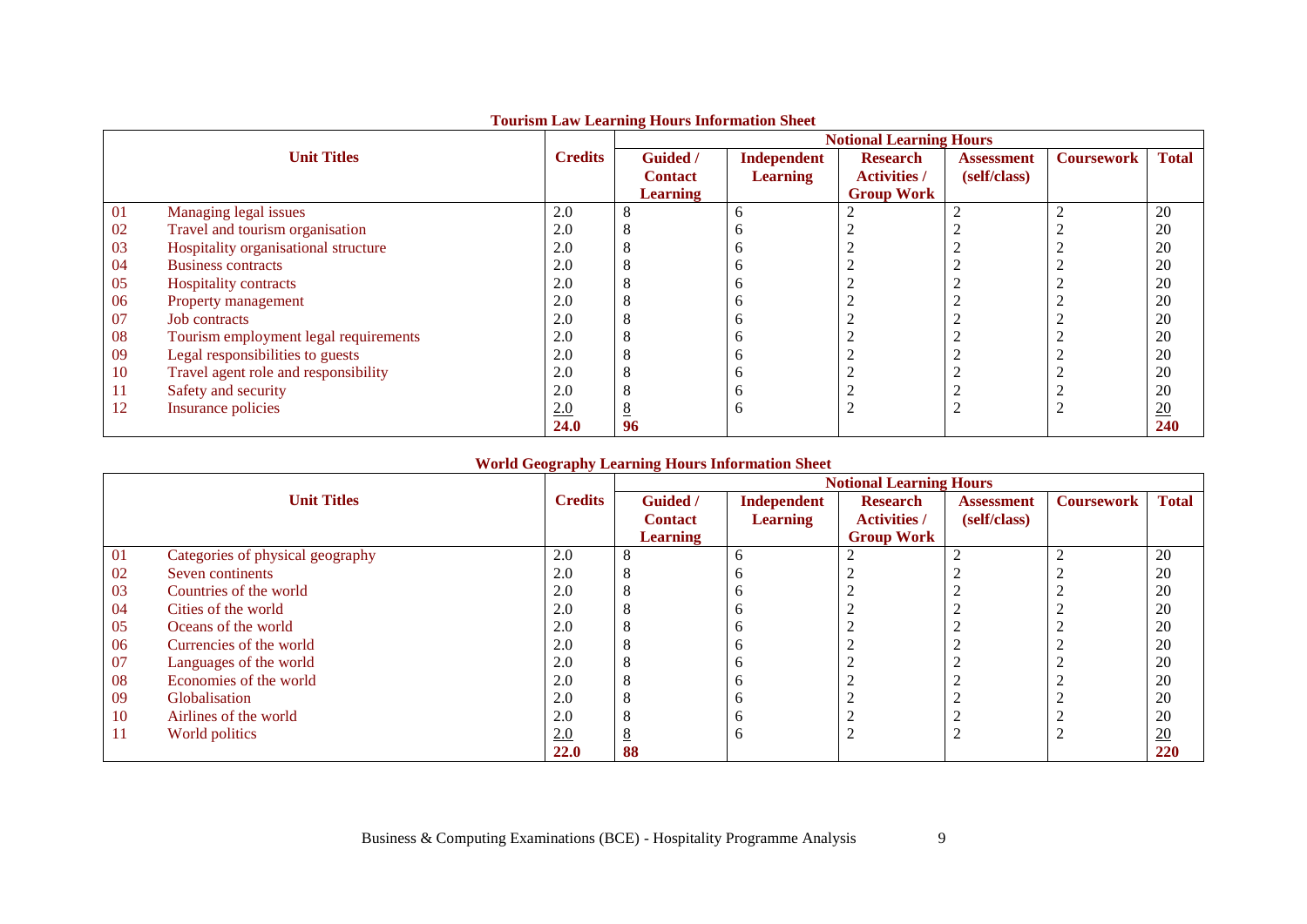|     |                                       |                | Tourism Buw Bearming Hours Information Sheet | <b>Notional Learning Hours</b> |                     |                   |                   |                  |  |  |
|-----|---------------------------------------|----------------|----------------------------------------------|--------------------------------|---------------------|-------------------|-------------------|------------------|--|--|
|     | <b>Unit Titles</b>                    | <b>Credits</b> | <b>Guided</b> /                              | <b>Independent</b>             | <b>Research</b>     | <b>Assessment</b> | <b>Coursework</b> | <b>Total</b>     |  |  |
|     |                                       |                | <b>Contact</b>                               | <b>Learning</b>                | <b>Activities /</b> | (self/class)      |                   |                  |  |  |
|     |                                       |                | <b>Learning</b>                              |                                | <b>Group Work</b>   |                   |                   |                  |  |  |
| 01  | Managing legal issues                 | 2.0            |                                              | <sub>0</sub>                   |                     |                   |                   | 20               |  |  |
| 02  | Travel and tourism organisation       | 2.0            |                                              | n                              |                     |                   |                   | 20               |  |  |
| 03  | Hospitality organisational structure  | 2.0            |                                              |                                |                     |                   |                   | 20               |  |  |
| 04  | <b>Business contracts</b>             | 2.0            |                                              |                                |                     |                   |                   | 20               |  |  |
| 05  | Hospitality contracts                 | 2.0            |                                              | n                              |                     |                   |                   | 20               |  |  |
| 06  | Property management                   | 2.0            |                                              |                                |                     |                   |                   | 20               |  |  |
| 07  | <b>Job</b> contracts                  | 2.0            |                                              |                                |                     |                   |                   | 20               |  |  |
| 08  | Tourism employment legal requirements | 2.0            |                                              |                                |                     |                   |                   | 20               |  |  |
| 09  | Legal responsibilities to guests      | 2.0            |                                              | Ð                              |                     |                   |                   | 20               |  |  |
| 10  | Travel agent role and responsibility  | 2.0            |                                              |                                |                     |                   |                   | 20               |  |  |
| -11 | Safety and security                   | 2.0            |                                              |                                |                     |                   |                   | 20               |  |  |
| 12  | Insurance policies                    | 2.0            |                                              | <sub>0</sub>                   |                     |                   |                   | $\underline{20}$ |  |  |
|     |                                       | 24.0           | 96                                           |                                |                     |                   |                   | 240              |  |  |

### **Tourism Law Learning Hours Information Sheet**

### **World Geography Learning Hours Information Sheet**

|           |                                  |                | <b>Notional Learning Hours</b> |                 |                     |                   |                   |                  |  |
|-----------|----------------------------------|----------------|--------------------------------|-----------------|---------------------|-------------------|-------------------|------------------|--|
|           | <b>Unit Titles</b>               | <b>Credits</b> | <b>Guided</b> /                | Independent     | <b>Research</b>     | <b>Assessment</b> | <b>Coursework</b> | <b>Total</b>     |  |
|           |                                  |                | <b>Contact</b>                 | <b>Learning</b> | <b>Activities</b> / | (self/class)      |                   |                  |  |
|           |                                  |                | <b>Learning</b>                |                 | <b>Group Work</b>   |                   |                   |                  |  |
| 01        | Categories of physical geography | 2.0            |                                | b               |                     |                   |                   | 20               |  |
| 02        | Seven continents                 | 2.0            | Ω                              |                 |                     |                   |                   | 20               |  |
| 03        | Countries of the world           | 2.0            |                                |                 |                     |                   |                   | 20               |  |
| -04       | Cities of the world              | 2.0            | Õ                              | n               |                     |                   |                   | 20               |  |
| 05        | Oceans of the world              | 2.0            | Ω                              |                 |                     |                   |                   | 20               |  |
| 06        | Currencies of the world          | 2.0            |                                |                 |                     |                   |                   | 20               |  |
| 07        | Languages of the world           | 2.0            | ◠                              | n               |                     |                   |                   | 20               |  |
| 08        | Economies of the world           | 2.0            | Ω                              |                 |                     |                   |                   | 20               |  |
| -09       | <b>Globalisation</b>             | 2.0            |                                |                 |                     |                   |                   | 20               |  |
| <b>10</b> | Airlines of the world            | 2.0            |                                | n               |                     |                   |                   | 20               |  |
| -11       | World politics                   | 2.0            | $\overline{\circ}$             | b               |                     |                   |                   | $\underline{20}$ |  |
|           |                                  | <b>22.0</b>    | 88                             |                 |                     |                   |                   | 220              |  |